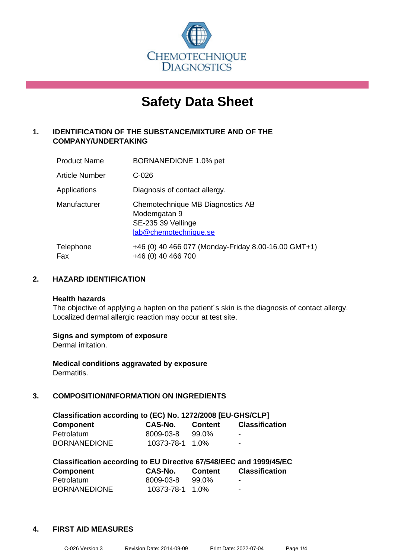

# **Safety Data Sheet**

# **1. IDENTIFICATION OF THE SUBSTANCE/MIXTURE AND OF THE COMPANY/UNDERTAKING**

| <b>Product Name</b>   | BORNANEDIONE 1.0% pet                                                                           |
|-----------------------|-------------------------------------------------------------------------------------------------|
| <b>Article Number</b> | $C-026$                                                                                         |
| Applications          | Diagnosis of contact allergy.                                                                   |
| Manufacturer          | Chemotechnique MB Diagnostics AB<br>Modemgatan 9<br>SE-235 39 Vellinge<br>lab@chemotechnique.se |
| Telephone<br>Fax      | +46 (0) 40 466 077 (Monday-Friday 8.00-16.00 GMT+1)<br>+46 (0) 40 466 700                       |

# **2. HAZARD IDENTIFICATION**

#### **Health hazards**

The objective of applying a hapten on the patient's skin is the diagnosis of contact allergy. Localized dermal allergic reaction may occur at test site.

#### **Signs and symptom of exposure**

Dermal irritation.

**Medical conditions aggravated by exposure** Dermatitis.

# **3. COMPOSITION/INFORMATION ON INGREDIENTS**

| Classification according to (EC) No. 1272/2008 [EU-GHS/CLP] |                 |                |                          |  |
|-------------------------------------------------------------|-----------------|----------------|--------------------------|--|
| <b>Component</b>                                            | CAS-No.         | <b>Content</b> | <b>Classification</b>    |  |
| Petrolatum                                                  | 8009-03-8       | 99.0%          | $\overline{\phantom{a}}$ |  |
| <b>BORNANEDIONE</b>                                         | 10373-78-1 1.0% |                | $\blacksquare$           |  |

| Classification according to EU Directive 67/548/EEC and 1999/45/EC |                 |                |                       |  |
|--------------------------------------------------------------------|-----------------|----------------|-----------------------|--|
| <b>Component</b>                                                   | CAS-No.         | <b>Content</b> | <b>Classification</b> |  |
| Petrolatum                                                         | 8009-03-8       | 99.0%          | -                     |  |
| <b>BORNANEDIONE</b>                                                | 10373-78-1 1.0% |                | -                     |  |

#### **4. FIRST AID MEASURES**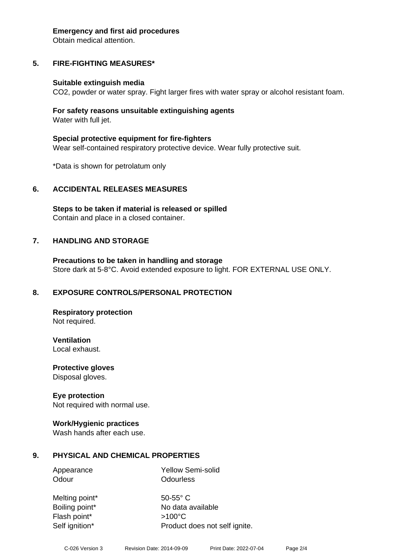#### **Emergency and first aid procedures**

Obtain medical attention.

# **5. FIRE-FIGHTING MEASURES\***

#### **Suitable extinguish media**

CO2, powder or water spray. Fight larger fires with water spray or alcohol resistant foam.

#### **For safety reasons unsuitable extinguishing agents** Water with full jet.

**Special protective equipment for fire-fighters** Wear self-contained respiratory protective device. Wear fully protective suit.

\*Data is shown for petrolatum only

#### **6. ACCIDENTAL RELEASES MEASURES**

**Steps to be taken if material is released or spilled** Contain and place in a closed container.

#### **7. HANDLING AND STORAGE**

**Precautions to be taken in handling and storage** Store dark at 5-8°C. Avoid extended exposure to light. FOR EXTERNAL USE ONLY.

#### **8. EXPOSURE CONTROLS/PERSONAL PROTECTION**

**Respiratory protection** Not required.

**Ventilation**

Local exhaust.

**Protective gloves** Disposal gloves.

#### **Eye protection**

Not required with normal use.

#### **Work/Hygienic practices**

Wash hands after each use.

#### **9. PHYSICAL AND CHEMICAL PROPERTIES**

Appearance Yellow Semi-solid Odour **Odourless** 

| Melting point* |
|----------------|
| Boiling point* |
| Flash point*   |
| Self ignition* |

 $50-55^\circ$  C No data available  $>100^{\circ}$ C Product does not self ignite.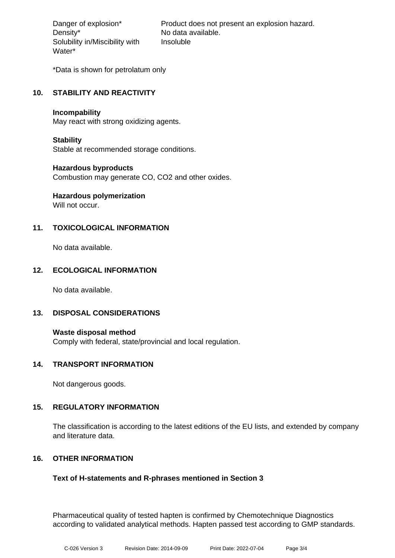Density\* No data available. Solubility in/Miscibility with Water\*

Danger of explosion\* Product does not present an explosion hazard. Insoluble

\*Data is shown for petrolatum only

# **10. STABILITY AND REACTIVITY**

#### **Incompability**

May react with strong oxidizing agents.

#### **Stability**

Stable at recommended storage conditions.

#### **Hazardous byproducts**

Combustion may generate CO, CO2 and other oxides.

# **Hazardous polymerization**

Will not occur.

# **11. TOXICOLOGICAL INFORMATION**

No data available.

#### **12. ECOLOGICAL INFORMATION**

No data available.

#### **13. DISPOSAL CONSIDERATIONS**

**Waste disposal method** Comply with federal, state/provincial and local regulation.

#### **14. TRANSPORT INFORMATION**

Not dangerous goods.

#### **15. REGULATORY INFORMATION**

The classification is according to the latest editions of the EU lists, and extended by company and literature data.

#### **16. OTHER INFORMATION**

#### **Text of H-statements and R-phrases mentioned in Section 3**

Pharmaceutical quality of tested hapten is confirmed by Chemotechnique Diagnostics according to validated analytical methods. Hapten passed test according to GMP standards.